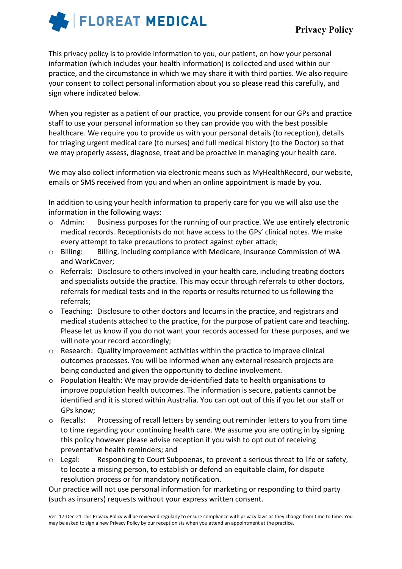

This privacy policy is to provide information to you, our patient, on how your personal information (which includes your health information) is collected and used within our practice, and the circumstance in which we may share it with third parties. We also require your consent to collect personal information about you so please read this carefully, and sign where indicated below.

When you register as a patient of our practice, you provide consent for our GPs and practice staff to use your personal information so they can provide you with the best possible healthcare. We require you to provide us with your personal details (to reception), details for triaging urgent medical care (to nurses) and full medical history (to the Doctor) so that we may properly assess, diagnose, treat and be proactive in managing your health care.

We may also collect information via electronic means such as MyHealthRecord, our website, emails or SMS received from you and when an online appointment is made by you.

In addition to using your health information to properly care for you we will also use the information in the following ways:

- o Admin: Business purposes for the running of our practice. We use entirely electronic medical records. Receptionists do not have access to the GPs' clinical notes. We make every attempt to take precautions to protect against cyber attack;
- o Billing: Billing, including compliance with Medicare, Insurance Commission of WA and WorkCover;
- o Referrals: Disclosure to others involved in your health care, including treating doctors and specialists outside the practice. This may occur through referrals to other doctors, referrals for medical tests and in the reports or results returned to us following the referrals;
- $\circ$  Teaching: Disclosure to other doctors and locums in the practice, and registrars and medical students attached to the practice, for the purpose of patient care and teaching. Please let us know if you do not want your records accessed for these purposes, and we will note your record accordingly;
- o Research: Quality improvement activities within the practice to improve clinical outcomes processes. You will be informed when any external research projects are being conducted and given the opportunity to decline involvement.
- o Population Health: We may provide de-identified data to health organisations to improve population health outcomes. The information is secure, patients cannot be identified and it is stored within Australia. You can opt out of this if you let our staff or GPs know;
- o Recalls: Processing of recall letters by sending out reminder letters to you from time to time regarding your continuing health care. We assume you are opting in by signing this policy however please advise reception if you wish to opt out of receiving preventative health reminders; and
- $\circ$  Legal: Responding to Court Subpoenas, to prevent a serious threat to life or safety, to locate a missing person, to establish or defend an equitable claim, for dispute resolution process or for mandatory notification.

Our practice will not use personal information for marketing or responding to third party (such as insurers) requests without your express written consent.